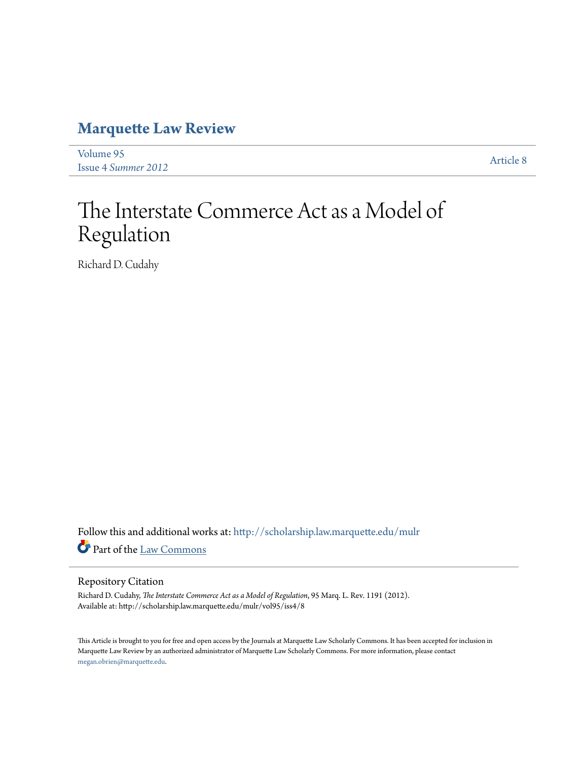## **[Marquette Law Review](http://scholarship.law.marquette.edu/mulr?utm_source=scholarship.law.marquette.edu%2Fmulr%2Fvol95%2Fiss4%2F8&utm_medium=PDF&utm_campaign=PDFCoverPages)**

[Volume 95](http://scholarship.law.marquette.edu/mulr/vol95?utm_source=scholarship.law.marquette.edu%2Fmulr%2Fvol95%2Fiss4%2F8&utm_medium=PDF&utm_campaign=PDFCoverPages) Issue 4 *[Summer 2012](http://scholarship.law.marquette.edu/mulr/vol95/iss4?utm_source=scholarship.law.marquette.edu%2Fmulr%2Fvol95%2Fiss4%2F8&utm_medium=PDF&utm_campaign=PDFCoverPages)* [Article 8](http://scholarship.law.marquette.edu/mulr/vol95/iss4/8?utm_source=scholarship.law.marquette.edu%2Fmulr%2Fvol95%2Fiss4%2F8&utm_medium=PDF&utm_campaign=PDFCoverPages)

# The Interstate Commerce Act as a Model of Regulation

Richard D. Cudahy

Follow this and additional works at: [http://scholarship.law.marquette.edu/mulr](http://scholarship.law.marquette.edu/mulr?utm_source=scholarship.law.marquette.edu%2Fmulr%2Fvol95%2Fiss4%2F8&utm_medium=PDF&utm_campaign=PDFCoverPages) Part of the [Law Commons](http://network.bepress.com/hgg/discipline/578?utm_source=scholarship.law.marquette.edu%2Fmulr%2Fvol95%2Fiss4%2F8&utm_medium=PDF&utm_campaign=PDFCoverPages)

#### Repository Citation

Richard D. Cudahy, *The Interstate Commerce Act as a Model of Regulation*, 95 Marq. L. Rev. 1191 (2012). Available at: http://scholarship.law.marquette.edu/mulr/vol95/iss4/8

This Article is brought to you for free and open access by the Journals at Marquette Law Scholarly Commons. It has been accepted for inclusion in Marquette Law Review by an authorized administrator of Marquette Law Scholarly Commons. For more information, please contact [megan.obrien@marquette.edu.](mailto:megan.obrien@marquette.edu)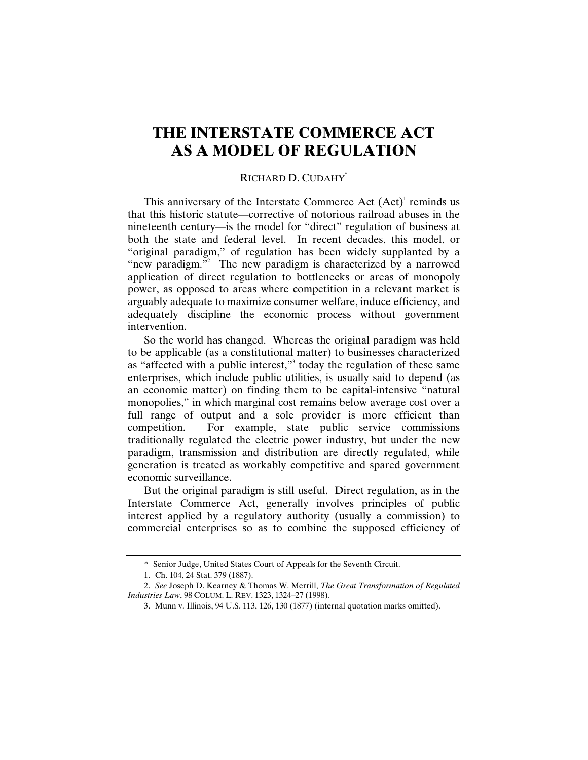### **THE INTERSTATE COMMERCE ACT AS A MODEL OF REGULATION**

#### RICHARD D. CUDAHY\*

This anniversary of the Interstate Commerce Act  $(Act)^1$  reminds us that this historic statute—corrective of notorious railroad abuses in the nineteenth century—is the model for "direct" regulation of business at both the state and federal level. In recent decades, this model, or "original paradigm," of regulation has been widely supplanted by a "new paradigm."<sup>2</sup> The new paradigm is characterized by a narrowed application of direct regulation to bottlenecks or areas of monopoly power, as opposed to areas where competition in a relevant market is arguably adequate to maximize consumer welfare, induce efficiency, and adequately discipline the economic process without government intervention.

So the world has changed. Whereas the original paradigm was held to be applicable (as a constitutional matter) to businesses characterized as "affected with a public interest," today the regulation of these same enterprises, which include public utilities, is usually said to depend (as an economic matter) on finding them to be capital-intensive "natural monopolies," in which marginal cost remains below average cost over a full range of output and a sole provider is more efficient than competition. For example, state public service commissions traditionally regulated the electric power industry, but under the new paradigm, transmission and distribution are directly regulated, while generation is treated as workably competitive and spared government economic surveillance.

But the original paradigm is still useful. Direct regulation, as in the Interstate Commerce Act, generally involves principles of public interest applied by a regulatory authority (usually a commission) to commercial enterprises so as to combine the supposed efficiency of

<sup>\*</sup> Senior Judge, United States Court of Appeals for the Seventh Circuit.

<sup>1.</sup> Ch. 104, 24 Stat. 379 (1887).

<sup>2.</sup> *See* Joseph D. Kearney & Thomas W. Merrill, *The Great Transformation of Regulated Industries Law*, 98 COLUM. L. REV. 1323, 1324–27 (1998).

<sup>3.</sup> Munn v. Illinois, 94 U.S. 113, 126, 130 (1877) (internal quotation marks omitted).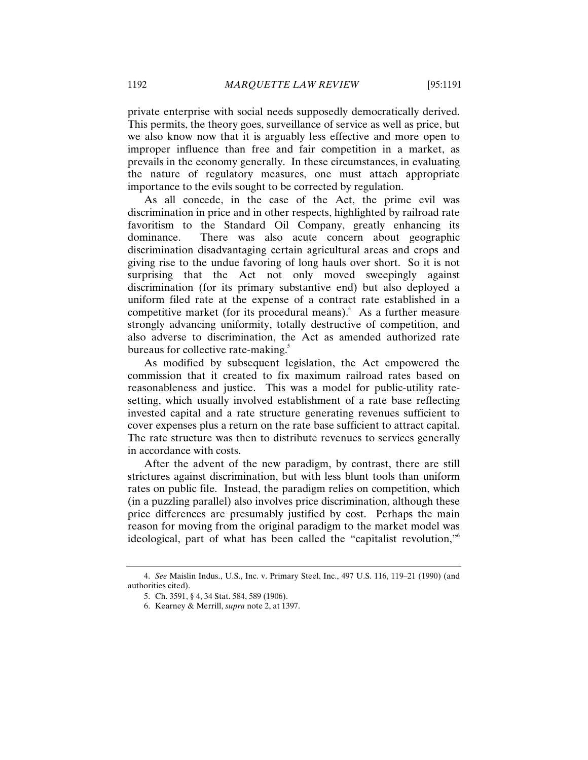private enterprise with social needs supposedly democratically derived. This permits, the theory goes, surveillance of service as well as price, but we also know now that it is arguably less effective and more open to improper influence than free and fair competition in a market, as prevails in the economy generally. In these circumstances, in evaluating the nature of regulatory measures, one must attach appropriate importance to the evils sought to be corrected by regulation.

As all concede, in the case of the Act, the prime evil was discrimination in price and in other respects, highlighted by railroad rate favoritism to the Standard Oil Company, greatly enhancing its dominance. There was also acute concern about geographic discrimination disadvantaging certain agricultural areas and crops and giving rise to the undue favoring of long hauls over short. So it is not surprising that the Act not only moved sweepingly against discrimination (for its primary substantive end) but also deployed a uniform filed rate at the expense of a contract rate established in a competitive market (for its procedural means). 4 As a further measure strongly advancing uniformity, totally destructive of competition, and also adverse to discrimination, the Act as amended authorized rate bureaus for collective rate-making.<sup>5</sup>

As modified by subsequent legislation, the Act empowered the commission that it created to fix maximum railroad rates based on reasonableness and justice. This was a model for public-utility ratesetting, which usually involved establishment of a rate base reflecting invested capital and a rate structure generating revenues sufficient to cover expenses plus a return on the rate base sufficient to attract capital. The rate structure was then to distribute revenues to services generally in accordance with costs.

After the advent of the new paradigm, by contrast, there are still strictures against discrimination, but with less blunt tools than uniform rates on public file. Instead, the paradigm relies on competition, which (in a puzzling parallel) also involves price discrimination, although these price differences are presumably justified by cost. Perhaps the main reason for moving from the original paradigm to the market model was ideological, part of what has been called the "capitalist revolution," 6

<sup>4.</sup> *See* Maislin Indus., U.S., Inc. v. Primary Steel, Inc., 497 U.S. 116, 119–21 (1990) (and authorities cited).

<sup>5.</sup> Ch. 3591, § 4, 34 Stat. 584, 589 (1906).

<sup>6.</sup> Kearney & Merrill, *supra* note 2, at 1397.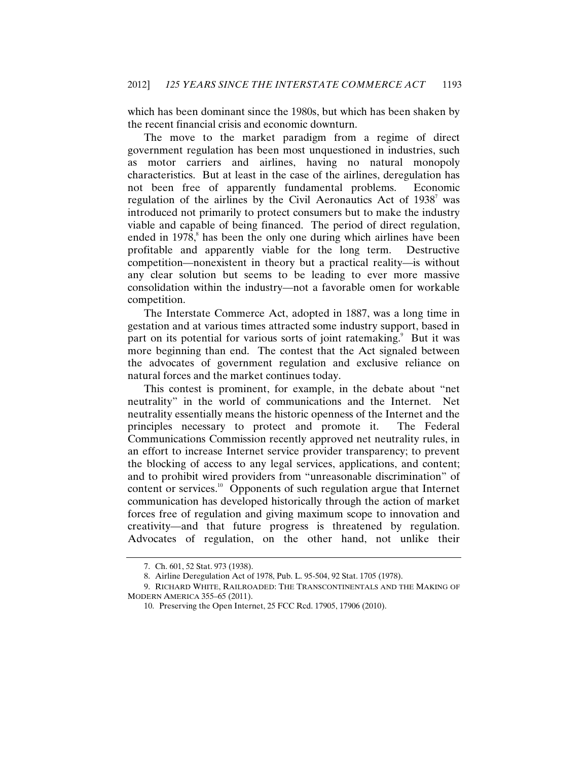which has been dominant since the 1980s, but which has been shaken by the recent financial crisis and economic downturn.

The move to the market paradigm from a regime of direct government regulation has been most unquestioned in industries, such as motor carriers and airlines, having no natural monopoly characteristics. But at least in the case of the airlines, deregulation has not been free of apparently fundamental problems. Economic regulation of the airlines by the Civil Aeronautics Act of  $1938<sup>7</sup>$  was introduced not primarily to protect consumers but to make the industry viable and capable of being financed. The period of direct regulation, ended in 1978, 8 has been the only one during which airlines have been profitable and apparently viable for the long term. Destructive competition—nonexistent in theory but a practical reality—is without any clear solution but seems to be leading to ever more massive consolidation within the industry—not a favorable omen for workable competition.

The Interstate Commerce Act, adopted in 1887, was a long time in gestation and at various times attracted some industry support, based in part on its potential for various sorts of joint ratemaking.<sup>9</sup> But it was more beginning than end. The contest that the Act signaled between the advocates of government regulation and exclusive reliance on natural forces and the market continues today.

This contest is prominent, for example, in the debate about "net neutrality" in the world of communications and the Internet. Net neutrality essentially means the historic openness of the Internet and the principles necessary to protect and promote it. The Federal Communications Commission recently approved net neutrality rules, in an effort to increase Internet service provider transparency; to prevent the blocking of access to any legal services, applications, and content; and to prohibit wired providers from "unreasonable discrimination" of content or services. $10$  Opponents of such regulation argue that Internet communication has developed historically through the action of market forces free of regulation and giving maximum scope to innovation and creativity—and that future progress is threatened by regulation. Advocates of regulation, on the other hand, not unlike their

<sup>7.</sup> Ch. 601, 52 Stat. 973 (1938).

<sup>8.</sup> Airline Deregulation Act of 1978, Pub. L. 95-504, 92 Stat. 1705 (1978).

<sup>9.</sup> RICHARD WHITE, RAILROADED: THE TRANSCONTINENTALS AND THE MAKING OF MODERN AMERICA 355–65 (2011).

<sup>10.</sup> Preserving the Open Internet, 25 FCC Rcd. 17905, 17906 (2010).